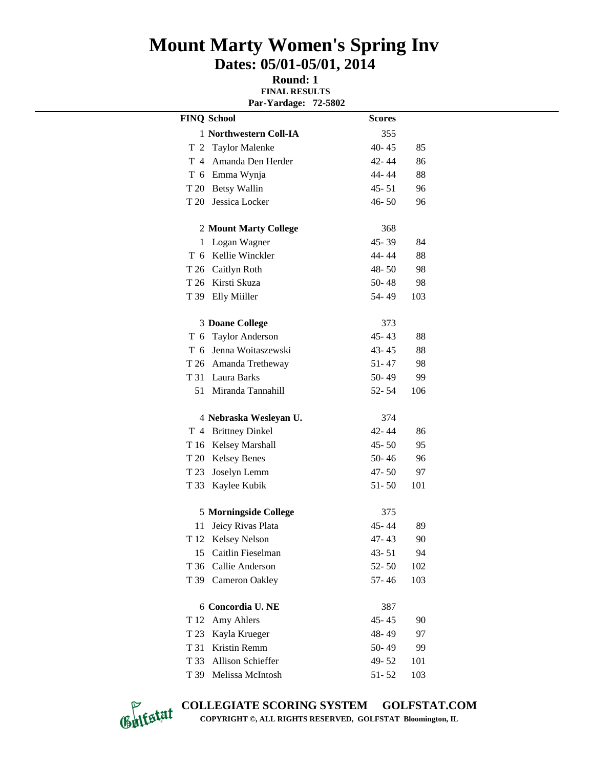## **Mount Marty Women's Spring Inv Dates: 05/01-05/01, 2014**

**Round: 1 FINAL RESULTS Par-Yardage: 72-5802**

|        | <b>FINQ School</b>     | <b>Scores</b> |     |
|--------|------------------------|---------------|-----|
|        | 1 Northwestern Coll-IA | 355           |     |
| т<br>2 | <b>Taylor Malenke</b>  | $40 - 45$     | 85  |
| T 4    | Amanda Den Herder      | 42-44         | 86  |
|        | T 6 Emma Wynja         | 44-44         | 88  |
|        | T 20 Betsy Wallin      | $45 - 51$     | 96  |
| T 20   | Jessica Locker         | $46 - 50$     | 96  |
|        | 2 Mount Marty College  | 368           |     |
| 1      | Logan Wagner           | 45-39         | 84  |
| T 6    | Kellie Winckler        | 44-44         | 88  |
|        | T 26 Caitlyn Roth      | 48-50         | 98  |
|        | T 26 Kirsti Skuza      | $50 - 48$     | 98  |
|        | T 39 Elly Miiller      | 54-49         | 103 |
|        | <b>3 Doane College</b> | 373           |     |
|        | T 6 Taylor Anderson    | $45 - 43$     | 88  |
| T 6    | Jenna Woitaszewski     | $43 - 45$     | 88  |
|        | T 26 Amanda Tretheway  | $51 - 47$     | 98  |
| T 31   | Laura Barks            | $50 - 49$     | 99  |
| 51     | Miranda Tannahill      | $52 - 54$     | 106 |
|        | 4 Nebraska Wesleyan U. | 374           |     |
|        | T 4 Brittney Dinkel    | 42-44         | 86  |
|        | T 16 Kelsey Marshall   | $45 - 50$     | 95  |
| T 20   | <b>Kelsey Benes</b>    | $50 - 46$     | 96  |
| T 23   | Joselyn Lemm           | $47 - 50$     | 97  |
| T 33   | Kaylee Kubik           | $51 - 50$     | 101 |
|        | 5 Morningside College  | 375           |     |
| 11     | Jeicy Rivas Plata      | 45-44         | 89  |
|        | T 12 Kelsey Nelson     | 47-43         | 90  |
| 15     | Caitlin Fieselman      | $43 - 51$     | 94  |
| T 36   | Callie Anderson        | $52 - 50$     | 102 |
| T 39   | <b>Cameron Oakley</b>  | 57-46         | 103 |
|        | 6 Concordia U. NE      | 387           |     |
| T 12   | Amy Ahlers             | $45 - 45$     | 90  |
| T 23   | Kayla Krueger          | 48-49         | 97  |
| T 31   | Kristin Remm           | 50-49         | 99  |
| T 33   | Allison Schieffer      | 49-52         | 101 |
|        | T 39 Melissa McIntosh  | $51 - 52$     | 103 |



**COLLEGIATE SCORING SYSTEM GOLFSTAT.COM COPYRIGHT ©, ALL RIGHTS RESERVED, GOLFSTAT Bloomington, IL**